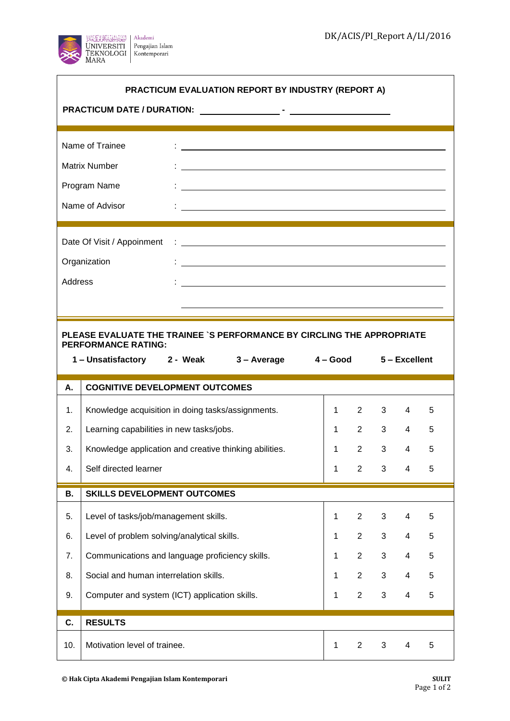$\overline{\phantom{a}}$ 



 $\overline{\phantom{a}}$ 

| PRACTICUM EVALUATION REPORT BY INDUSTRY (REPORT A)                                                                                                                                                                                                                   |                                                        |                                                                                                                       |              |                |                |                |   |  |  |  |  |
|----------------------------------------------------------------------------------------------------------------------------------------------------------------------------------------------------------------------------------------------------------------------|--------------------------------------------------------|-----------------------------------------------------------------------------------------------------------------------|--------------|----------------|----------------|----------------|---|--|--|--|--|
|                                                                                                                                                                                                                                                                      |                                                        |                                                                                                                       |              |                |                |                |   |  |  |  |  |
|                                                                                                                                                                                                                                                                      |                                                        |                                                                                                                       |              |                |                |                |   |  |  |  |  |
| Name of Trainee                                                                                                                                                                                                                                                      |                                                        |                                                                                                                       |              |                |                |                |   |  |  |  |  |
|                                                                                                                                                                                                                                                                      | Matrix Number                                          | <u> 1989 - Johann Barn, amerikansk politiker (d. 1989)</u>                                                            |              |                |                |                |   |  |  |  |  |
|                                                                                                                                                                                                                                                                      | Program Name                                           | <u> 1989 - Johann Stoff, amerikansk politiker (d. 1989)</u>                                                           |              |                |                |                |   |  |  |  |  |
|                                                                                                                                                                                                                                                                      | Name of Advisor                                        | <u> 1989 - Johann Harry Harry Harry Harry Harry Harry Harry Harry Harry Harry Harry Harry Harry Harry Harry Harry</u> |              |                |                |                |   |  |  |  |  |
|                                                                                                                                                                                                                                                                      |                                                        |                                                                                                                       |              |                |                |                |   |  |  |  |  |
| Date Of Visit / Appoinment<br>$\ddot{\phantom{a}}$ , and the contract of the contract of the contract of the contract of the contract of the contract of the contract of the contract of the contract of the contract of the contract of the contract of the contrac |                                                        |                                                                                                                       |              |                |                |                |   |  |  |  |  |
| Organization<br>$\frac{1}{2}$ . The contract of the contract of the contract of the contract of the contract of the contract of the contract of the contract of the contract of the contract of the contract of the contract of the contract of t                    |                                                        |                                                                                                                       |              |                |                |                |   |  |  |  |  |
| Address                                                                                                                                                                                                                                                              |                                                        | <u> 1988 - Andrea Stadt Britain, amerikansk politiker (</u>                                                           |              |                |                |                |   |  |  |  |  |
|                                                                                                                                                                                                                                                                      |                                                        |                                                                                                                       |              |                |                |                |   |  |  |  |  |
|                                                                                                                                                                                                                                                                      |                                                        |                                                                                                                       |              |                |                |                |   |  |  |  |  |
| PLEASE EVALUATE THE TRAINEE `S PERFORMANCE BY CIRCLING THE APPROPRIATE<br><b>PERFORMANCE RATING:</b>                                                                                                                                                                 |                                                        |                                                                                                                       |              |                |                |                |   |  |  |  |  |
| 1-Unsatisfactory 2 - Weak 3-Average<br>4 – Good<br>5 – Excellent                                                                                                                                                                                                     |                                                        |                                                                                                                       |              |                |                |                |   |  |  |  |  |
|                                                                                                                                                                                                                                                                      |                                                        |                                                                                                                       |              |                |                |                |   |  |  |  |  |
| А.                                                                                                                                                                                                                                                                   | <b>COGNITIVE DEVELOPMENT OUTCOMES</b>                  |                                                                                                                       |              |                |                |                |   |  |  |  |  |
| 1.                                                                                                                                                                                                                                                                   | Knowledge acquisition in doing tasks/assignments.      |                                                                                                                       | $\mathbf{1}$ | $2^{\circ}$    | $3^{\circ}$    | 4              | 5 |  |  |  |  |
| 2.                                                                                                                                                                                                                                                                   | Learning capabilities in new tasks/jobs.               |                                                                                                                       | $\mathbf{1}$ | $2^{\circ}$    | $3^{\circ}$    | $\overline{4}$ | 5 |  |  |  |  |
| 3.                                                                                                                                                                                                                                                                   | Knowledge application and creative thinking abilities. |                                                                                                                       | $\mathbf{1}$ | $2^{\circ}$    | $3^{\circ}$    | $\overline{4}$ | 5 |  |  |  |  |
| 4.                                                                                                                                                                                                                                                                   | Self directed learner                                  |                                                                                                                       | 1            | $2^{\circ}$    | 3 <sup>1</sup> | $\overline{4}$ | 5 |  |  |  |  |
| В.                                                                                                                                                                                                                                                                   | <b>SKILLS DEVELOPMENT OUTCOMES</b>                     |                                                                                                                       |              |                |                |                |   |  |  |  |  |
|                                                                                                                                                                                                                                                                      |                                                        |                                                                                                                       |              |                |                |                |   |  |  |  |  |
| 5.                                                                                                                                                                                                                                                                   | Level of tasks/job/management skills.                  |                                                                                                                       | 1            | $\overline{2}$ | 3              | 4              | 5 |  |  |  |  |
| 6.                                                                                                                                                                                                                                                                   | Level of problem solving/analytical skills.            |                                                                                                                       | $\mathbf 1$  | $\overline{2}$ | 3              | 4              | 5 |  |  |  |  |
| 7.                                                                                                                                                                                                                                                                   | Communications and language proficiency skills.        |                                                                                                                       | $\mathbf{1}$ | $\overline{2}$ | 3              | 4              | 5 |  |  |  |  |
| 8.                                                                                                                                                                                                                                                                   | Social and human interrelation skills.                 |                                                                                                                       | $\mathbf 1$  | $\overline{2}$ | 3              | 4              | 5 |  |  |  |  |
| 9.                                                                                                                                                                                                                                                                   | Computer and system (ICT) application skills.          |                                                                                                                       | $\mathbf{1}$ | $\overline{2}$ | 3              | 4              | 5 |  |  |  |  |
| C.                                                                                                                                                                                                                                                                   | <b>RESULTS</b>                                         |                                                                                                                       |              |                |                |                |   |  |  |  |  |